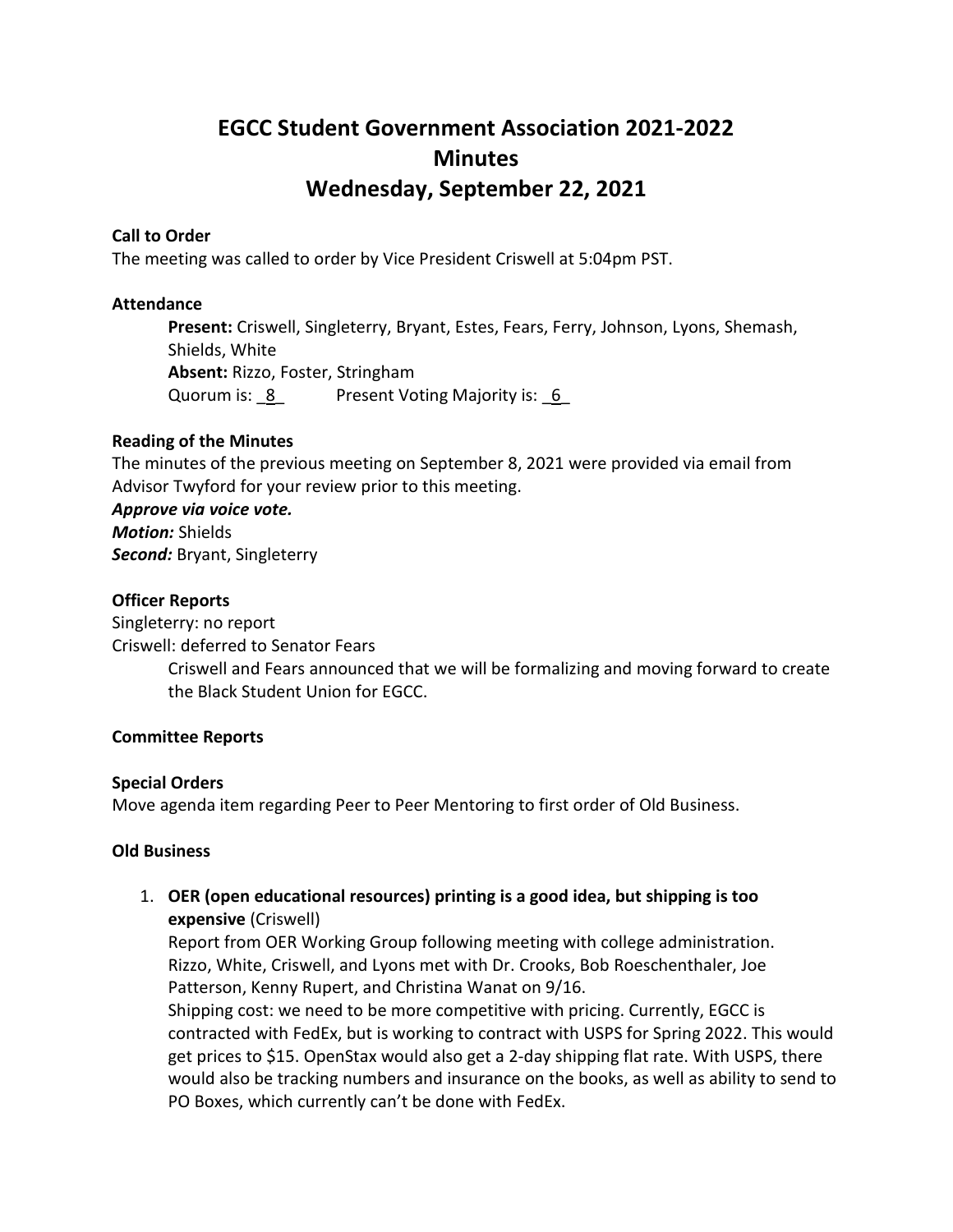# **EGCC Student Government Association 2021-2022 Minutes Wednesday, September 22, 2021**

#### **Call to Order**

The meeting was called to order by Vice President Criswell at 5:04pm PST.

#### **Attendance**

**Present:** Criswell, Singleterry, Bryant, Estes, Fears, Ferry, Johnson, Lyons, Shemash, Shields, White **Absent:** Rizzo, Foster, Stringham Quorum is: 8 Present Voting Majority is: 6

#### **Reading of the Minutes**

The minutes of the previous meeting on September 8, 2021 were provided via email from Advisor Twyford for your review prior to this meeting.

*Approve via voice vote. Motion:* Shields *Second:* Bryant, Singleterry

#### **Officer Reports**

Singleterry: no report Criswell: deferred to Senator Fears Criswell and Fears announced that we will be formalizing and moving forward to create the Black Student Union for EGCC.

#### **Committee Reports**

#### **Special Orders**

Move agenda item regarding Peer to Peer Mentoring to first order of Old Business.

#### **Old Business**

1. **OER (open educational resources) printing is a good idea, but shipping is too expensive** (Criswell)

Report from OER Working Group following meeting with college administration. Rizzo, White, Criswell, and Lyons met with Dr. Crooks, Bob Roeschenthaler, Joe Patterson, Kenny Rupert, and Christina Wanat on 9/16.

Shipping cost: we need to be more competitive with pricing. Currently, EGCC is contracted with FedEx, but is working to contract with USPS for Spring 2022. This would get prices to \$15. OpenStax would also get a 2-day shipping flat rate. With USPS, there would also be tracking numbers and insurance on the books, as well as ability to send to PO Boxes, which currently can't be done with FedEx.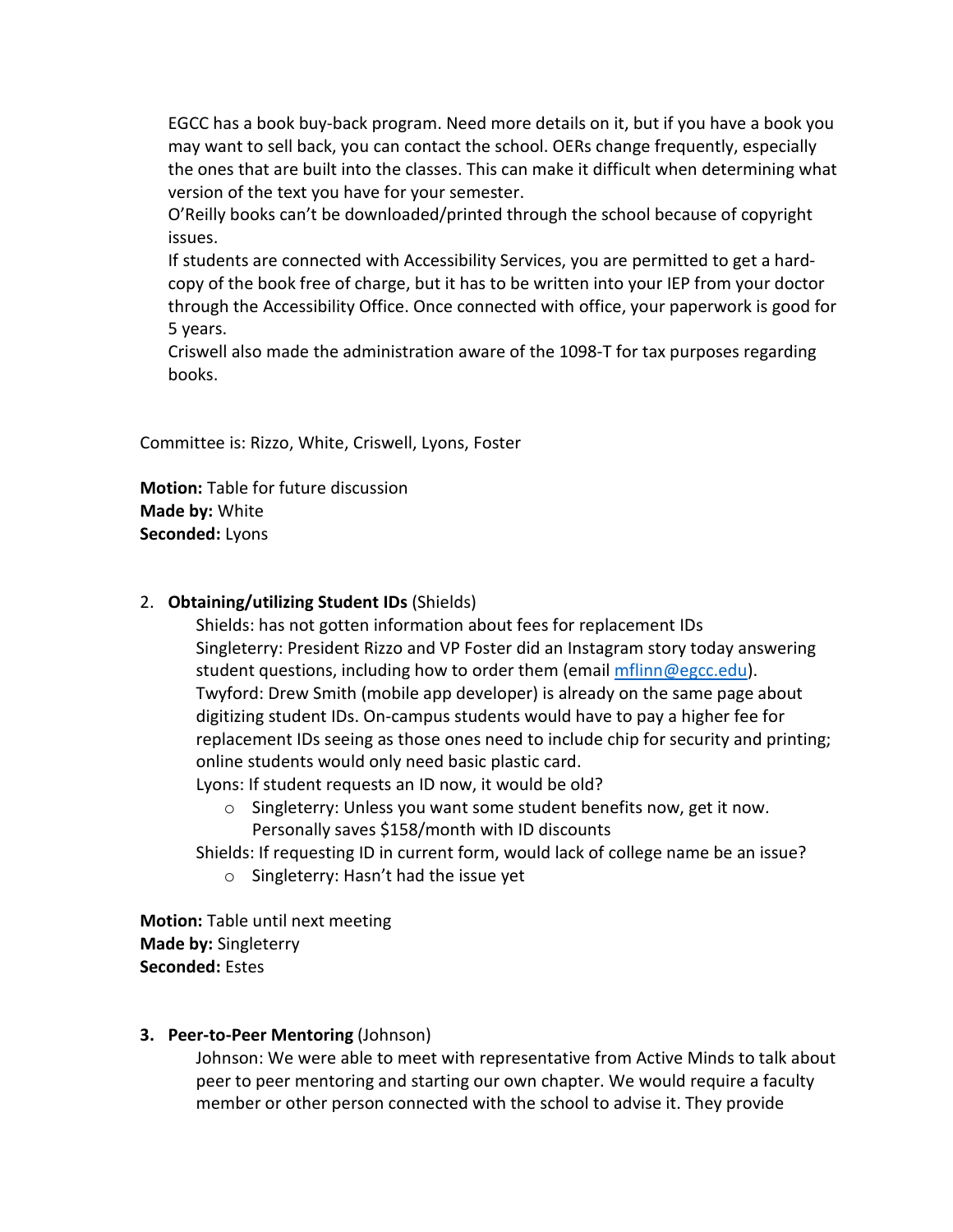EGCC has a book buy-back program. Need more details on it, but if you have a book you may want to sell back, you can contact the school. OERs change frequently, especially the ones that are built into the classes. This can make it difficult when determining what version of the text you have for your semester.

O'Reilly books can't be downloaded/printed through the school because of copyright issues.

If students are connected with Accessibility Services, you are permitted to get a hardcopy of the book free of charge, but it has to be written into your IEP from your doctor through the Accessibility Office. Once connected with office, your paperwork is good for 5 years.

Criswell also made the administration aware of the 1098-T for tax purposes regarding books.

Committee is: Rizzo, White, Criswell, Lyons, Foster

**Motion:** Table for future discussion **Made by:** White **Seconded:** Lyons

## 2. **Obtaining/utilizing Student IDs** (Shields)

Shields: has not gotten information about fees for replacement IDs Singleterry: President Rizzo and VP Foster did an Instagram story today answering student questions, including how to order them (email *mflinn@egcc.edu*). Twyford: Drew Smith (mobile app developer) is already on the same page about digitizing student IDs. On-campus students would have to pay a higher fee for replacement IDs seeing as those ones need to include chip for security and printing; online students would only need basic plastic card.

Lyons: If student requests an ID now, it would be old?

 $\circ$  Singleterry: Unless you want some student benefits now, get it now. Personally saves \$158/month with ID discounts

Shields: If requesting ID in current form, would lack of college name be an issue?

o Singleterry: Hasn't had the issue yet

**Motion:** Table until next meeting **Made by:** Singleterry **Seconded:** Estes

#### **3. Peer-to-Peer Mentoring** (Johnson)

Johnson: We were able to meet with representative from Active Minds to talk about peer to peer mentoring and starting our own chapter. We would require a faculty member or other person connected with the school to advise it. They provide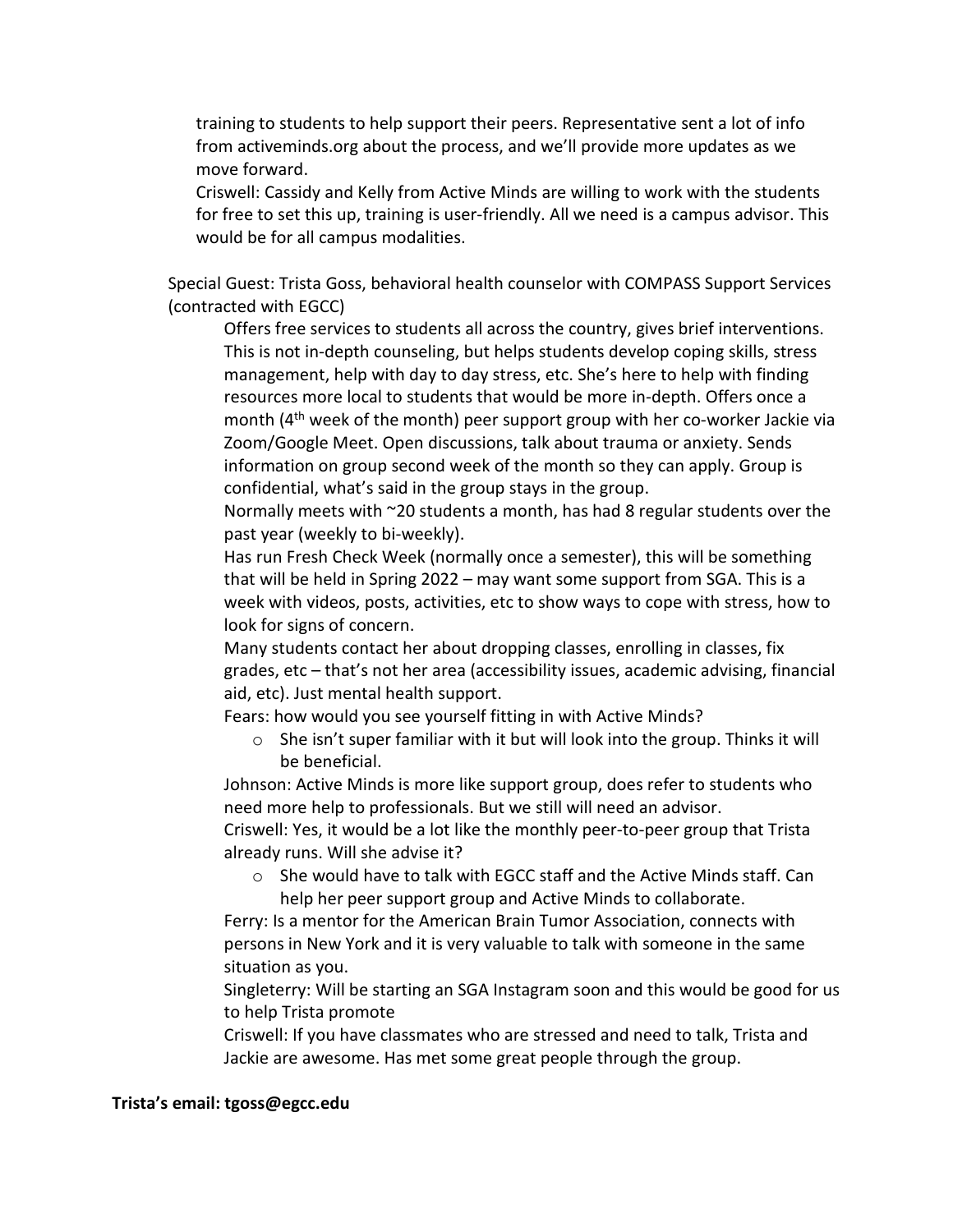training to students to help support their peers. Representative sent a lot of info from activeminds.org about the process, and we'll provide more updates as we move forward.

Criswell: Cassidy and Kelly from Active Minds are willing to work with the students for free to set this up, training is user-friendly. All we need is a campus advisor. This would be for all campus modalities.

Special Guest: Trista Goss, behavioral health counselor with COMPASS Support Services (contracted with EGCC)

Offers free services to students all across the country, gives brief interventions. This is not in-depth counseling, but helps students develop coping skills, stress management, help with day to day stress, etc. She's here to help with finding resources more local to students that would be more in-depth. Offers once a month  $(4^{th}$  week of the month) peer support group with her co-worker Jackie via Zoom/Google Meet. Open discussions, talk about trauma or anxiety. Sends information on group second week of the month so they can apply. Group is confidential, what's said in the group stays in the group.

Normally meets with ~20 students a month, has had 8 regular students over the past year (weekly to bi-weekly).

Has run Fresh Check Week (normally once a semester), this will be something that will be held in Spring 2022 – may want some support from SGA. This is a week with videos, posts, activities, etc to show ways to cope with stress, how to look for signs of concern.

Many students contact her about dropping classes, enrolling in classes, fix grades, etc – that's not her area (accessibility issues, academic advising, financial aid, etc). Just mental health support.

Fears: how would you see yourself fitting in with Active Minds?

o She isn't super familiar with it but will look into the group. Thinks it will be beneficial.

Johnson: Active Minds is more like support group, does refer to students who need more help to professionals. But we still will need an advisor.

Criswell: Yes, it would be a lot like the monthly peer-to-peer group that Trista already runs. Will she advise it?

o She would have to talk with EGCC staff and the Active Minds staff. Can help her peer support group and Active Minds to collaborate.

Ferry: Is a mentor for the American Brain Tumor Association, connects with persons in New York and it is very valuable to talk with someone in the same situation as you.

Singleterry: Will be starting an SGA Instagram soon and this would be good for us to help Trista promote

Criswell: If you have classmates who are stressed and need to talk, Trista and Jackie are awesome. Has met some great people through the group.

#### **Trista's email: tgoss@egcc.edu**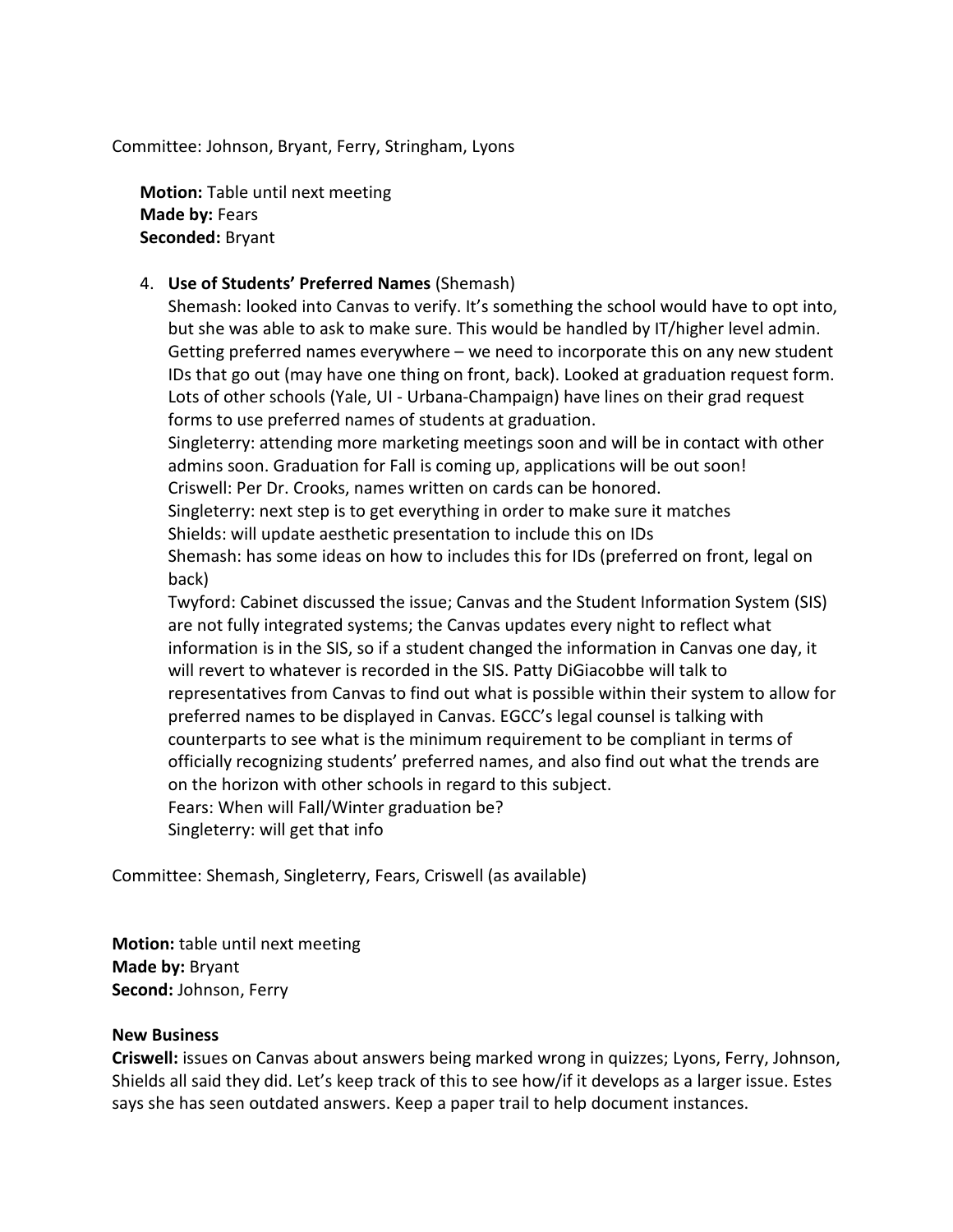Committee: Johnson, Bryant, Ferry, Stringham, Lyons

**Motion:** Table until next meeting **Made by:** Fears **Seconded:** Bryant

## 4. **Use of Students' Preferred Names** (Shemash)

Shemash: looked into Canvas to verify. It's something the school would have to opt into, but she was able to ask to make sure. This would be handled by IT/higher level admin. Getting preferred names everywhere – we need to incorporate this on any new student IDs that go out (may have one thing on front, back). Looked at graduation request form. Lots of other schools (Yale, UI - Urbana-Champaign) have lines on their grad request forms to use preferred names of students at graduation.

Singleterry: attending more marketing meetings soon and will be in contact with other admins soon. Graduation for Fall is coming up, applications will be out soon! Criswell: Per Dr. Crooks, names written on cards can be honored.

Singleterry: next step is to get everything in order to make sure it matches

Shields: will update aesthetic presentation to include this on IDs

Shemash: has some ideas on how to includes this for IDs (preferred on front, legal on back)

Twyford: Cabinet discussed the issue; Canvas and the Student Information System (SIS) are not fully integrated systems; the Canvas updates every night to reflect what information is in the SIS, so if a student changed the information in Canvas one day, it will revert to whatever is recorded in the SIS. Patty DiGiacobbe will talk to representatives from Canvas to find out what is possible within their system to allow for preferred names to be displayed in Canvas. EGCC's legal counsel is talking with counterparts to see what is the minimum requirement to be compliant in terms of officially recognizing students' preferred names, and also find out what the trends are on the horizon with other schools in regard to this subject. Fears: When will Fall/Winter graduation be?

Singleterry: will get that info

Committee: Shemash, Singleterry, Fears, Criswell (as available)

**Motion:** table until next meeting **Made by:** Bryant **Second:** Johnson, Ferry

#### **New Business**

**Criswell:** issues on Canvas about answers being marked wrong in quizzes; Lyons, Ferry, Johnson, Shields all said they did. Let's keep track of this to see how/if it develops as a larger issue. Estes says she has seen outdated answers. Keep a paper trail to help document instances.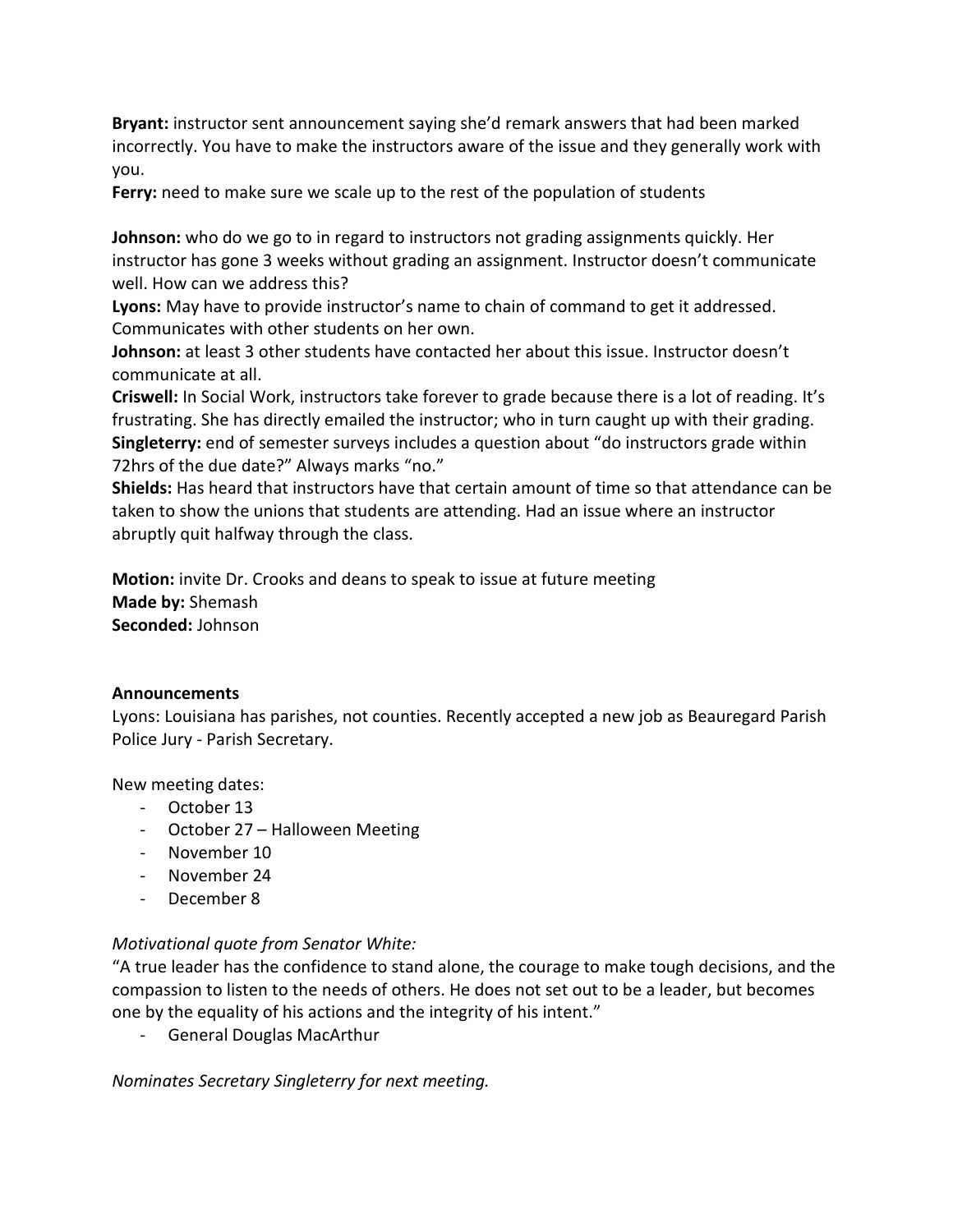**Bryant:** instructor sent announcement saying she'd remark answers that had been marked incorrectly. You have to make the instructors aware of the issue and they generally work with you.

**Ferry:** need to make sure we scale up to the rest of the population of students

**Johnson:** who do we go to in regard to instructors not grading assignments quickly. Her instructor has gone 3 weeks without grading an assignment. Instructor doesn't communicate well. How can we address this?

**Lyons:** May have to provide instructor's name to chain of command to get it addressed. Communicates with other students on her own.

**Johnson:** at least 3 other students have contacted her about this issue. Instructor doesn't communicate at all.

**Criswell:** In Social Work, instructors take forever to grade because there is a lot of reading. It's frustrating. She has directly emailed the instructor; who in turn caught up with their grading. **Singleterry:** end of semester surveys includes a question about "do instructors grade within 72hrs of the due date?" Always marks "no."

**Shields:** Has heard that instructors have that certain amount of time so that attendance can be taken to show the unions that students are attending. Had an issue where an instructor abruptly quit halfway through the class.

**Motion:** invite Dr. Crooks and deans to speak to issue at future meeting **Made by:** Shemash **Seconded:** Johnson

#### **Announcements**

Lyons: Louisiana has parishes, not counties. Recently accepted a new job as Beauregard Parish Police Jury - Parish Secretary.

New meeting dates:

- October 13
- October 27 Halloween Meeting
- November 10
- November 24
- December 8

#### *Motivational quote from Senator White:*

"A true leader has the confidence to stand alone, the courage to make tough decisions, and the compassion to listen to the needs of others. He does not set out to be a leader, but becomes one by the equality of his actions and the integrity of his intent."

- General Douglas MacArthur

*Nominates Secretary Singleterry for next meeting.*